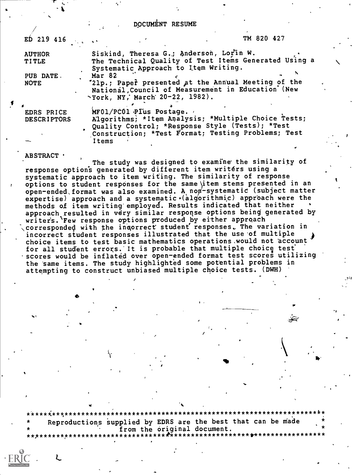#### DOCUMENT RESUME

| $ED$ 219 416                     |                                                                                 | TM 820 427                                                                                                                                                   |  |
|----------------------------------|---------------------------------------------------------------------------------|--------------------------------------------------------------------------------------------------------------------------------------------------------------|--|
| <b>AUTHOR</b><br><b>TITLE</b>    | Siskind, Theresa G.; Anderson, Lorin W.<br>Systematic Approach to Item Writing. | The Technical Quality of Test Items Generated Using a                                                                                                        |  |
| PUB DATE.<br><b>NOTE</b>         | Mar 82<br>Nork, NY, March 20-22, 1982).                                         | '21p.; Paper presented at the Annual Meeting of the<br>National Council of Measurement in Education (New                                                     |  |
| EDRS PRICE<br><b>DESCRIPTORS</b> | MF01/PC01 PIus Postage.                                                         | Algorithms; *Item Analysis; *Multiple Choice Tests;<br>Quality Control; *Response Style (Tests); *Test<br>Construction: *Test Format: Testing Problems: Test |  |

#### **ABSTRACT ·**

Items

The study was designed to examine the similarity of response options generated by different item writers using a systematic approach to item writing. The similarity of response options to student responses for the same item stems presented in an open-ended format was also examined. A non-systematic (subject matter expertise) approach and a systematic (algorithmic) approach were the methods of item writing employed. Results indicated that neither approach resulted in very similar response options being generated by writers. Few response options produced by either approach corresponded with the incorrect student responses. The variation in incorrect student responses illustrated that the use of multiple choice items to test basic mathematics operations would not account for all student errors. It is probable that multiple choice test scores would be inflated over open-ended format test scores utilizing the same items. The study highlighted some potential problems in attempting to construct unbiased multiple choice tests. (DWH)

\*\*\*\*\*\*\*\*\*\*\*\*\*\*\*\*\*\*\*\*\*\*\*\*\*\*\*\*\*\*\*\*\*\*\*\*\*\* \*\*\*\*\*\*\*\*\*\*\*\*\*\*\*\*\*\*\*\* Reproductions supplied by EDRS are the best that can be made from the original document. \*\*\*\*\*\*\*\*\*\*\*\*\*\*\*\*\*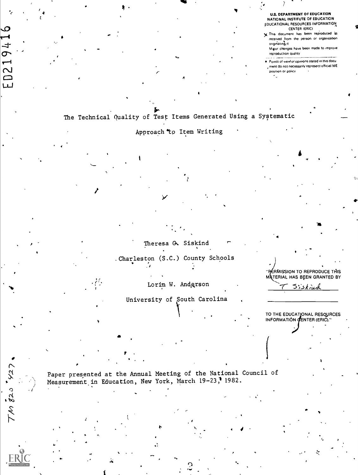**U.S. DEPARTMENT OF EDUCATION NATIONAL INSTITUTE OF EDUCATION** EDUCATIONAL RESOURCES INFORMATION **CENTER (ERIC)** 

X This document has been reproduced as received from the person or organization originating it

Migor changes have been made to improve reproduction quality

. Points of view or opinions stated in this docu , ment do not necessarily represent official NIE position or policy

The Technical Quality of Test Items Generated Using a Systematic

O

02194

لىبا

 $5/27$ 

 $7/10.520$ 

Approach to Item Writing

Theresa G. Siskind

. Charleston (S.C.) County Schools

Lorin W. Andgrson

University of South Carolina

TO THE EDUCATIONAL RESOURCES<br>INFORMATION CENTER (ERIC)."

ERMISSION TO REPRODUCE THIS MATERIAL HAS BEEN GRANTED BY

Siskind

Paper presented at the Annual Meeting of the National Council of Measurement in Education, New York, March 19-23, 1982.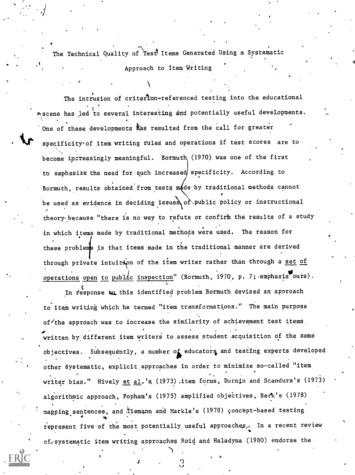The Technical Quality of Test Items Generated Using a Systematic Approach to Item Writing

The intrusion of criteflon-referenced testing into the educational One of these developments has resulted from the call for greater scene has led to several interesting and potentially useful developments. specificityof item writing ruled and operations if test scores are to become increasingly meaningful. Bormuth (1970) was one of the first to emphasize the need for such increased specificity. According to Bormuth, results obtained from tests made by traditional methods cannot be used as evidence in deciding issues of public policy or instructional theory because "there is no way to refute or confirm the results of a study in which items made by traditional methods were used. The reason for these problems is that items made in the traditional manner are derived through private intuition of the item writer rather than through a set of operations open to public inspection" (Bormuth, 1970, p. 7; emphasis ours).

In response to this identified problem Bormuth devised an approach to item writing which he termed "item transformations." The main purpose of/the approach was to increase the similarity of achievement test items written by different item writers to assess student acquisition of the same objectives. Subsequently, a number of educators and testing experts developed other systematic, explicit approaches in order to minimize so-called "item writer bias." Hively et al.'s (1973) ,item forms, Durntn and Scandura's (1973) algorithmic approach, Popham's (1975) amplified objectives, Berk's (1978) mapping sentences, and Tiemann and Markle's (1978) concept-based testing <sup>0</sup> 4 represent five of the most potentially useful approaches. In a recent review of.-systematic item writing approaches Roil and Haladyna (1980) endorse the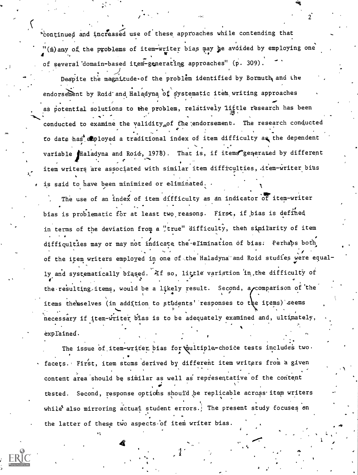<sup>r</sup> 'Continued and increased use of these approaches while contending that "(m) any of the problems of item-writer bias may be avoided by employing one 4 of several domain-based item-generating approaches" (p. 309).

2

Despite the magnitude of the problem identified by Bormuth and the endorsement by Roid and Haladyna of systematic item writing approaches as potential solutions to the problem, relatively little research has been conducted to examine the validity of the endorsement. The research conducted e e control de la control de la control de la control de la control de la control de la control de la control <br>En 1919, en 1919, en 1919, en 1919, en 1919, en 1919, en 1919, en 1919, en 1919, en 1919, en 1919, en 1919, en to date has employed a traditional index of item difficulty as the dependent variable Haladyna and Roid, 1978). That is, if items generated by different r item writers are associated with similar item difficulties, item-writer bias is said to have been minimized or eliminated.  $\cdot$ 

The use of an index of item difficulty as an indicator of item-writer bias is problematic for at least two reasons. First, if bias is defined in terms of the deviation from a "true" difficulty, then similarity of item difficulties may or may not indicate the elimination of bias: Perhaps both of the item writers employed in one of the Haladyna and Roid studies were equally and systematically biased. Af so, little variation in, the difficulty of the resulting items, would be a likely result. Second, a comparison of the items thereslves (in addition to students' responses to the items) seems necessary if item- writer bias is to be adequately examined and, ultimately, explained.

The issue of item-writer bias for wultiple-choice tests includes two. facets. First, item stems derived by different item writers from a given content area should be similar as well as' repiesentative of the content  $\bullet$  and  $\bullet$ tested. Second, response optiohs should be replicable across itam writers while also mirroring actual student errors. The present study focuses on the latter of these two aspects of item writer bias.

.:\*\*

 $\ddot{a}$ 

6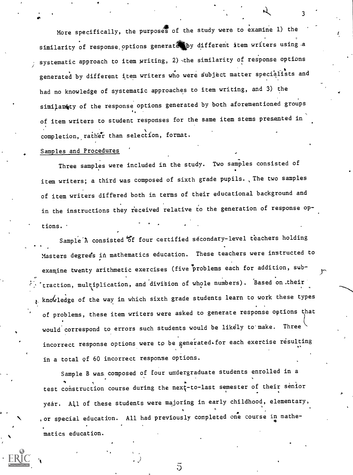More specifically, the purposes of the study were to examine 1) the similarity of response options generates by different item writers using a systematic approach to item writing, 2) -the similarity of response options generated by different item writers who were subject matter specialists and had no knowledge of systematic approaches to item writing, and 3) the similarity of the response options generated by both aforementioned groups of item writers to student responses for the same item stems presented in completion, rather than selection, format.

#### Samples and Procedures

't

Three samples were included in the study. Two samples consisted of item writers; a third was composed of sixth grade pupils. ,The two samples of item writers differed both in terms of their educational background and in the instructions they received relative to the generation of response options.

Sample<sup>'</sup>A consisted of four certified secondary-level teachers holding Masters degree's in mathematics education. These teachers were instructed to examine twenty arithmetic exercises (five problems each for addition, sub traction, multiplication, and division of whole numbers). Based on their  $k$ , knowledge of the way in which sixth grade students learn to work these types of problems, these item writers were asked to generate response options that would correspond to errors such students would be likely to make. Three incorrect response options were to be generated. for each exercise resulting in a total of 60 incorrect response options.

Sample B was composed of four undergraduate students enrolled in a test construction course during the next-to-last semester of their senior yeár. All of these students were majoring in early childhood, elementary, or special education. All had previously completed one course in mathe- , matics education.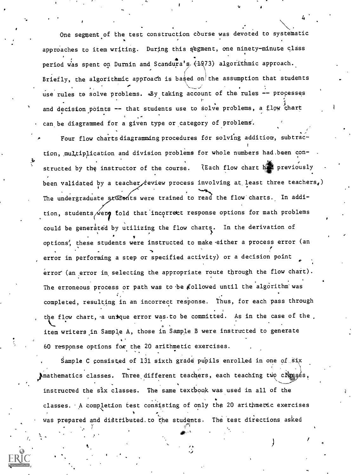One segment of the test construction course was devoted to systematic approaches to item writing. During this segment, one ninety-minute class period was spent on Durnin and Scandura's (1973) algorithmic approach. Briefly, the algorithmic approach is based on the assumption that students A. ....\_/' , use rules tø solve problems. «By taking account of the rules -- processes r , and , and , and , and , and , and , and , and , and , and , and , and , and , and , and , and , and , and and decision points -- that students use to solve problems, a flow chart can be diagrammed for a given type or category of problems'.

4

Four flow charts diagramming procedures for solving addition, subtract tion, multiplication and division problems for whole numbers had.been constructed by the instructor of the course. (Each flow chart has previously been validated by a teacher feview process involving at least three teachers,) The undergraduate students were trained to read the flow charts. In addition, students were fold that incorrect response options for math problems could be generated by utilizing the flow charts. In the derivation of options, these students were instructed to make either a process error (an error in performing a step or specified activity) or a decision point error (an error in selecting the appropriate route through the flow chart). The erroneous process or path was to be followed until the algorithm was completed, resulting in an incorrect response. Thus, for each pass through the flow chart, a unrque error was to be committed. As in the case of the  $\overline{a}$ . item writers.in Sample A, those in Sample B were instructed to generate 60 response options for the 20 arithmetic exercises.

Sample C consisted of 131 sixth grade pupils enrolled in one of Six Imathematics classes. Three different teachers, each teaching two classes, instructed the six classes. The same, textbook was used in all of the classes. A completion test consisting of only the 20 arithmetic exercises was prepared and distributed.to the students. The test directions asked

0,,,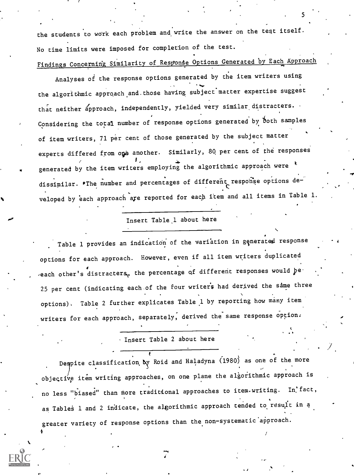the students to work each problem and write the answer on the test itself. No time limits were imposed for completion of the test. Findings Concerning Similarity of Response Options Generated by Each Approach

5

Analyses of the response options generated by the item writers using the algorithmic approach and those having subject matter expertise suggest that neither approach, independently, yielded very similar distracters. Considering the total number of response options generated by both samples of item writers, 71 per cent of those generated by the subject matter experts differed from one another. Similarly, 80 per cent of the responses generated by the item writers employing the algorithmic approach were  $k$ dissimilar. The number and percentages of different response options de-<br>C veloped by each approach are reported for each item and all items in Table 1.

#### Insert Table,1 about here

Table 1 provides an indication of the variation in generated response options for each approach. However, even if all item writers duplicated each other's distracters, the percentage of different responses would be 25 per cent (indicating each of the four writers had derived the same three options). Table 2 further explicates Table 1 by reporting how many item writers for each approach, separately, derived the same response option.

Insert Table 2 about here

Despite classification by Roid and Haladyna (1980) as one of the more objective item writing approaches, on one plane the algorithmic approach is no less "biased" than more traditional approaches to item writing. In fact, as Tables 1 and 2 indicate, the algorithmic approach tended to result in a greater variety of response options than the non-systematic approach.

.0

41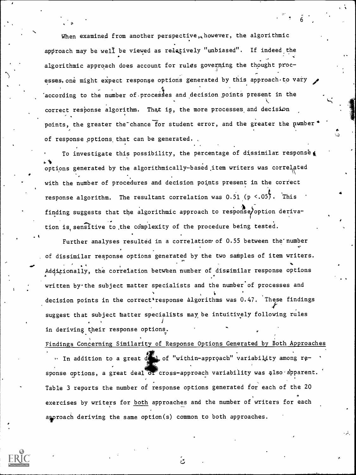When examined from another perspective, however, the algorithmic approach may be well be viewed as relatively "unbiased". If indeed the algorithmic approach does account for rules governing the thought proc- ,. esses, one might expect response options generated by this approach to vary  $according$  to the number of processes and decision points present in the correct response algorithm. That is, the more processes and decision points, the greater the chance for student error, and the greater the number of response options that can be generated.

6

S

 $\bullet$ 

To investigate this possibility, the percentage of dissimilar response options generated by the algorithmically-based.item writers was correlated with the number of procedures and decision points present in the correct response algorithm. The resultant correlation was  $0.51$  (p  $\lt .05$ ). This finding suggests that the algorithmic approach to response/option derivation is sensitive to the complexity of the procedure being tested.

Further analyses resulted in a correlation of 0.55 between the number of dissimilar response options generated by the two samples of item writers. Additionally, the correlation between number of dissimilar response options written by the subject matter specialists and the number of processes and decision points in the correct response algorithms was 0.47. These findings suggest that subject matter specialists may be intuitively following rules in deriving their response options.

Findings Concerning Similarity of Response Options Generated by Both Approaches

In addition to a great deal of "within-approach" variability among response options, a great deal or cross-approach variability was also apparent. Table 3 reports the number of response options generated for each of the 20 exercises by writers for both approaches and the number of writers for each approach deriving the same option(s) common to both approaches.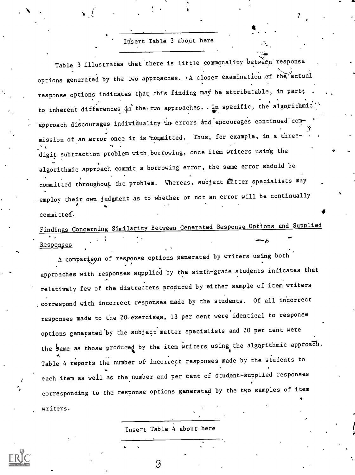#### Insert Table 3 about here

 $\mathcal{T}$  and  $\mathcal{T}$ 

Table 3 illustrates that there is little commonality between response options generated by the two approaches. A closer examination of the actual response options indicates that this finding may be attributable, in part; to inherent differences in the two approaches. In specific, the algorithmic approach discourages individuality in errors and encourages continued commission of an error once it is committed. Thus, for example, in a threedigit subtraction problem with borrowing, once item writers using the algorithmic approach commit a borrowing error, the same error should be committed throughout the problem. Whereas, subject matter specialists may employ their own judgment as to whether or not an error will be continually  $\bullet$  committed.

### Findings Concerning Similarity Between Generated Response Options and Supplied Responses

A comparison of response options generated by writers using both approaches with responses supplied by the sixth-grade students indicates that relatively few of the distracters produced by either sample of item writers . correspond with incorrect responses made by the students. Of all incorrect responses made to the 20-exercises, 13 per cent were identical to response options generated'by the subject matter specialists and 20 per cent were the same as those produced by the item writers using the algorithmic approach. Table 4 reports the number of incorrect responses made by the students to each item as well as the number and per cent of student-supplied responses corresponding to the response options generated by the two samples of item writers.

Insert Table 4 about here

З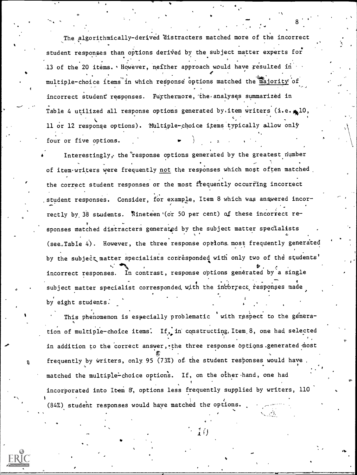The algorithmically-derived 'distracters matched more of the incorrect student responses than options derived by the subject matter experts for 13 of the 20 items. However, neither approach would have resulted in multiple-choice items in which response options matched the majority of incorrect student responses. Furthermore, the analyses summarized in Table 4 utilized all response options generated by item writers (i.e.  $\triangle 10$ , 11 or 12 response options). Multiple-choice items typically allow only four or five options.

8

Interestingly, the'response options generated by the greatest dumber of item writers were frequently not the responses which most often matched, the correct student responses or the most frequently occurring incorrect student responses. Consider, for example, Item 8 which was answered incorrectly by 38 students. Nineteen (or 50 per cent) of these incorrect responses matched distracters generated by the subject matter specialists  $(see, Table 4)$ . However, the three response options most frequently generated by the subject matter specialists corresponded with only two of the students' incorrect responses. In contrast, response options generated by a single subject matter specialist corresponded with the incorrect responses made  $\mathcal{L}$ by eight students:

This phenomenon is especially problematic with respect to the generation of multiple-choice items. If, in constructing, Item 8, one had selected in addition to the correct answer, the three response options generated most frequently by writers, only 95 (73%) of the student responses would have , matched the multiple-choice options. If, on the other hand, one had incorporated into Item 8', options less frequently supplied by writers, 110 (84%) student responses would have matched the options.  $\sim$ 

Full Text Prov

J.

ft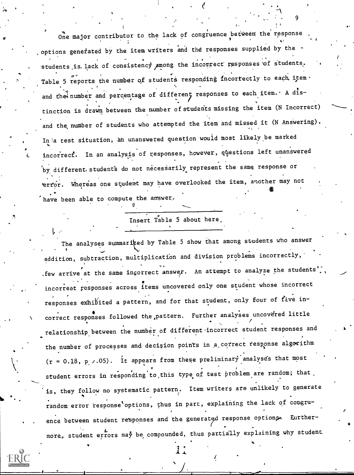One major contributor to the lack of congruence between the response  $\epsilon$ , options generated by the item writers and the responses supplied by the  $\sim$ students is lack of consistency among the incorrect responses of students, in Table 5 reports the number of students responding incorrectly to each item. and the number and percentage of different responses to each item. A distinction is drawn between the number ofstuderits missing the item (N Incorrect) and the, number of students who attempted the item and missed it (N Angwering). In a test situation, an unanswered question would most likely be marked incorrect. In an analysis of responses, however, questions left unanswered by different students do not necessarily represent the same response or terfor. Whereas one student may have overlooked the item, another may not have been able to compute the answer.

Insert Table 5 about here,

The analyses summariced by Table 5 show that among students who answer addition, subtraction, multiplication and division problems incorrectly, . few arrive at the same incorrect answer. An attempt to analyze the students'. incorrect responses across items uncovered only one student whose incorrect responses exhibited a pattern, and for that student, only four of five incorrect responses followed the pattern. Further analyses uncovered little relationship between the number of different-incorrect student responses and the number of processes and decision points in a correct response algorithm  $(r = 0.18, p \times .05)$ . It appears from these preliminary analyses that most student errors in responding to this type of test problem are random; that is, they follow no systematic pattern. Item writers are unlikely to generate .<br>random error response'options, thus in part, explaining the lack of congru-. ence between student responses and the generated response options. Eurthermore, student errors may be compounded, thus partially explaining why student

9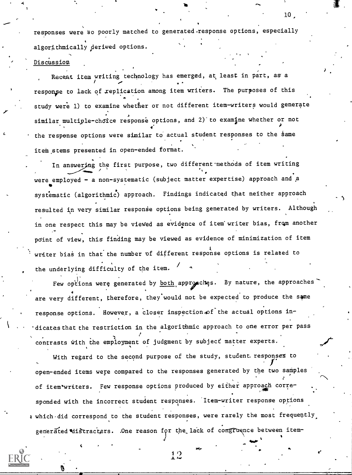responses were so poorly matched to generated.response options, especially algorithmically derived options.

#### Discussion

 $4 - 4 - 4$ 

Recent item writing technology has emerged, at least in part, as a  $\mathbf{v}$  , we have the set of  $\mathbf{v}$ responpe to lack of xeplication among item writers. The purposes of this study were 1) to examine whether or not different item-writers would generate similar multiple-choice response options, and 2) to examine whether or not the response options were similar to actual student responses to the same item stems presented in open-ended format.

In answering the first purpose, two different methods of item writing were employed - a non-systematic (subject matter expertise) approach and a **ft** and the second second  $\mathbf{r}$ systematic (algorithmic) approach. Findings indicated that neither approach resulted in very similar response options being generated by writers. Although in one respect this may be viewed as evidence of item writer bias, from another point of view, this finding may be viewed as evidence of minimization of item writer bias in that the number of different response options is related to the underlying difficulty of the item.

Few options were generated by both approaches. By nature, the approaches are very different, therefore, they would not be expected to produce the same response options. However, a closer inspection of the actual options indicates that the restriction in the algorithmic approach to one error per pass contrasts with the employment of judgment by subject matter experts.

With regard to the second purpose of the study, student responses to open-ended items were compared to the responses generated by the two samples of item writers. Few response options produced by either approach corresponded with the incorrect student responses. Item-writer response options 4 which did correspond to the student responses, were rarely the most frequently, generated distracters. . One reason for the lack of congruence between item-

 $12$ 

tido,

4

10,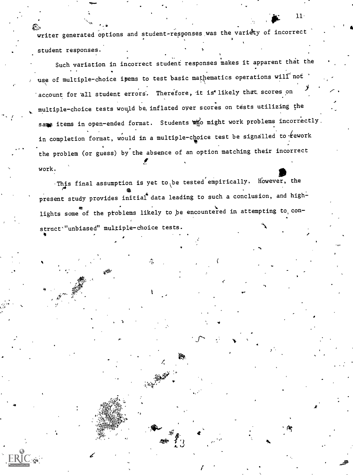writer generated options and student-responses was the variety of incorrect student responses.

Such variation in incorrect student responses makes it apparent that the use of multiple-choice ipems to test basic mathematics operations will not 'account for all student errors. Therefore, it is likely that scores on multiple-choice tests would be, inflated over scores on tests utilizing the same items in open-ended format. Students who might work problems incorrectly. in completion format, would in a multiple-choice test be signalled to  $k$ ework the problem (or guess) by the absence of an option matching their incorrect work.

 $\blacksquare$ .This final assumption is yet to be tested empirically. However, the present study provides initial data leading to such a conclusion, and highlights some of the problems likely to be encountered in attempting to, construct'"unbiased" multiple-choice tests. 4

c. <sup>J</sup>

 $4\bullet$  and  $\bullet$  and  $\bullet$ 

11-

4'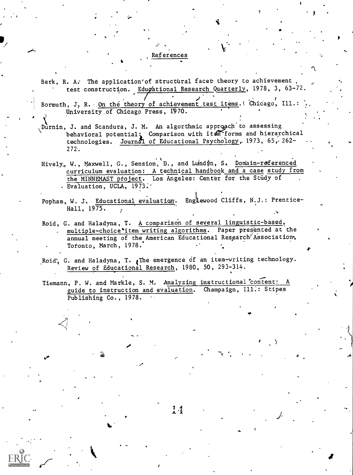#### References

 $\bullet$   $\bullet$   $\bullet$ 

I

Berk, R. A. The application' of structural facet theory to achievement test construction. Edugational Research Quarterly, 1978, 3, 63-72.

Bormuth, J. R. On the theory of achievement test items. Chicago, Ill.: University of Chicago Press, 1970.

, Durnin, J. and Scandura, J. M. An algorthmic approach to assessing behavioral potential, Comparison with item forms and hierarchical technologies. <u>Journal of Educational Psychology</u>, 1973, 65, 262- ...  $272.$ 

- Hively, W., Maxwell, G., Sension, D., and Lundin, S. Domain-referenced curriculum evaluation: A technical handbook and a case study from the MINNEMAST ptoject. Los Angeles: Center for the Study of Evaluation, UCLA, 1973:'
- Popham, W. J. Educational evaluation. Engtewood Cliffs, N.J.: Prentice-Hall, 1975.
- Roid, G. and Haladyna, T. A comparison of several linguistic-based, multiple-choice item writing algorithms. Paper presented at the annual meeting of the American Educational Research<sup>7</sup>Association, Totonto, March, 1978.
- Roid', G. and Haladyna, T.  $\ell$ The emergence of an item-writing technology. Review of Educational Research, 1980, 50, 293-314.

Tiemann, P. W. and Markle, S. M. Analyzing instructional'content: A guide to instruction and evaluation. Champaign, Ill:: Stipes Publishing Co., 1978.

 $14$ 

I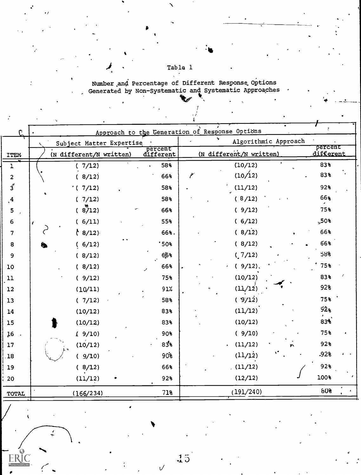## $\begin{array}{c}\n\text{Table 1} \\
\end{array}$

Number and Percentage of Different Response Options<br>Generated by Non-Systematic and Systematic Approaches

|                         |                                                       |                      | Approach to the Generation of Response Options |                      |  |  |
|-------------------------|-------------------------------------------------------|----------------------|------------------------------------------------|----------------------|--|--|
|                         | s<br>Algorithmic Approach<br>Subject Matter Expertise |                      |                                                |                      |  |  |
| <b>ITEM</b>             | (N different/N written)                               | percent<br>different | (N different/N written)                        | percent<br>different |  |  |
| $\mathbf 1$             | (7/12)                                                | 58%                  | (10/12)                                        | 83%                  |  |  |
| $\overline{\mathbf{c}}$ | (8/12)                                                | 66%                  | (10/12)                                        | 83%                  |  |  |
| $3^{''}$                | (7/12)                                                | 58%                  | (11/12)                                        | 92%                  |  |  |
| $\frac{4}{3}$           | (7/12)                                                | 58%                  | (8/12)                                         | 66%                  |  |  |
| 5                       | (8712)                                                | 66%                  | (9/12)                                         | 75%                  |  |  |
| 6                       | (6/11)                                                | 55%                  | (6/12)                                         | $\mathsf{L}50\$      |  |  |
| 7                       | (8/12)                                                | 66%.                 | (8/12)                                         | 66%                  |  |  |
| 8                       | (6/12)                                                | 50                   | (8/12)                                         | 66%                  |  |  |
| 9                       | (8/12)                                                | 66%                  | (7/12)                                         | 58%                  |  |  |
| 10                      | (8/12)                                                | 66%                  | $(9/12)$ .                                     | 75%                  |  |  |
| 11                      | (9/12)                                                | 75%                  | (10/12)                                        | 83%                  |  |  |
| 12                      | (10/11)                                               | 91%                  | (11/12)                                        | 92%                  |  |  |
| 13                      | (7/12)                                                | 58%                  | (9/12)                                         | 75%                  |  |  |
| 14                      | (10/12)                                               | 83%                  | (11/12)                                        | 92 <sub>8</sub>      |  |  |
| 15                      | (10/12)                                               | 83%                  | (10/12)                                        | 833                  |  |  |
| 16                      | (9/10)                                                | 90%                  | (9/10)                                         | 75%                  |  |  |
| 17                      | (10/12)                                               | 83%                  | (11/12)<br>٠                                   | 92%                  |  |  |
| , 18                    | (9/10)                                                | 90 <sup>5</sup>      | (11/12)                                        | .92%                 |  |  |
| 19                      | (8/12)                                                | 66%                  | (11/12)                                        | 92%                  |  |  |
| 20                      | (11/12)                                               | 92%                  | (12/12)                                        | 100%                 |  |  |
| TOTAL                   | (166/234)                                             | 71%                  | (191/240)                                      | 60%                  |  |  |
|                         |                                                       |                      |                                                |                      |  |  |

 $\frac{1}{2}$ 

 $\sqrt{ }$ 

RIC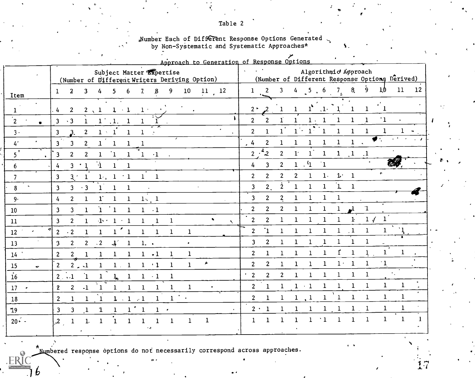# "Number Each of Different Response Options Generated Systematic and Systematic Approaches\*

|                                  | Approach to Generation of Response Options                                                                                                                   |                                                                                                                                                        |
|----------------------------------|--------------------------------------------------------------------------------------------------------------------------------------------------------------|--------------------------------------------------------------------------------------------------------------------------------------------------------|
|                                  | Subject Matter Expertise<br>(Number of Different Writers Deriving Option)                                                                                    | Algorithmic Approach<br>(Number of Different Response Options Derived)                                                                                 |
| [tem                             | 10 <sub>1</sub><br>$11^{12}$<br>9<br>$\boldsymbol{\beta}$<br>$\overline{2}$<br>3<br>5.<br>$\mathbf{Z}$<br>$\mathbf{1}$<br>4<br>6                             | 11<br>8 <sub>l</sub><br>12<br>$\overline{2}$<br>$4 \quad 5 \quad 6$<br>9<br>$\mathbf{3}$<br>7 <sub>1</sub><br>10<br>$\mathbf{1}$                       |
| $\mathbf{1}$                     | $\frac{1}{4}$<br>$\overline{2}$<br>$2 \sqrt{1}$<br>$1 \cdot 1$<br>$\mathbf{1}$                                                                               | $\cdot$ 1.<br>$\mathbf{1}$<br>1<br>$2^+$                                                                                                               |
| $\frac{1}{2}$<br>$\bullet$       | 3 <sup>1</sup><br>$\cdot$ 3<br>$1^\circ$ , 1.<br>1<br>1<br>1                                                                                                 | $^{\circ}1$<br>$\overline{2}$<br>$\overline{2}$<br>$\mathbf{I}$<br>$\mathbf{1}$<br>$\mathbf{1}$<br>$\mathbf{1}$<br>$1 \cdot 1$                         |
| $3 \cdot$                        | $\overline{2}$<br>3 <sup>1</sup><br>3 <sub>l</sub><br>$1 \cdot 1$<br>1<br>1.                                                                                 | $\mathbf{1}$<br>$\overline{1}$<br>$\overline{2}$<br>$\mathbf{1}$<br>$\mathbf{1}$<br>$\mathbf{1}$<br>1<br>$\mathbf{1}$<br>$1 -$<br>-1                   |
| $4^\circ$                        | $\overline{\mathbf{3}}$<br>$\boldsymbol{2}$<br>$\mathbf{3}$<br>$\mathbf{1}$<br>1<br>1                                                                        | $\bullet$ .<br>$\mathbf 1$<br>$\mathbf{1}$<br>$\mathbf{1}$<br>2<br>$\mathbf{1}$<br>$\mathbf{1}$<br>1<br>.4                                             |
|                                  | $\overline{2}$<br>$\mathbf{1}$<br>2 <sup>1</sup><br>$\mathbf{3}$<br>$\bf{1}$<br>$\cdot 1$<br>1                                                               | $2 \cdot \sqrt[2]{2}$<br>$\mathbf{1}^{\dagger}$<br>$1^\circ$<br>$\mathbf{1}$<br>$\mathbf{1}$<br>$\overline{2}$<br>$\mathbf{1}$<br>$\overline{1}$       |
| $\boldsymbol{6}$                 | $\mathbf{1}$<br>$3 \cdot 1$<br>$\mathbf{1}$<br>4<br>$\mathbf{1}$                                                                                             | $1 \cdot 4$<br><b>The Second</b><br>$^{\circ}1$<br>$\overline{\mathbf{3}}$<br>$\overline{2}$<br>4                                                      |
| $\overline{7}$                   | 3 <sup>1</sup><br>1, 1<br>$\pm 1$<br>$\mathbf{1}$<br>$\mathbf{3}$<br>$\mathbf{1}$<br>$\mathbf 1$                                                             | $\bullet$<br>$\overline{2}$<br>$1 - 1$<br>$\overline{2}$<br>$\overline{2}$<br>$\mathbf{1}$<br>$\overline{2}$<br>$\mathbf{1}$                           |
| $\bf 8$<br>$\tilde{\phantom{a}}$ | $\cdot$ 3<br>$\mathbf{3}$<br>3 <sup>1</sup><br>$\mathbf{1}$<br>$\mathbf{1}$<br>1                                                                             | $\dot{2}$<br>$\mathbf{1}$<br>2 <sub>1</sub><br>$\mathbf{1}$<br>$\mathbf{3}$<br>$\mathbf 1$<br>1<br>1                                                   |
| 9.                               | $1^{\circ}$<br>2 <sup>1</sup><br>$\mathbf{1}$<br>$\mathbf{1}$<br>$\mathbf{1}$<br>$\frac{1}{4}$<br>$1_{\gamma}$ , 1                                           | $\mathbf{3}$<br>$\overline{2}$<br>$\mathbf{2}$<br>$\mathbf{1}$<br>$\mathbf{1}$<br>$\mathbf{1}$<br>$\mathbf{1}$                                         |
| LO.                              | $\mathbf{1}$<br>$\overline{3}$<br>$\mathbf{1}$<br>$\mathbf{1}$<br>$\mathbf{1}$<br>$1 - 1$<br>$\mathbf{3}$                                                    | $\overline{2}$<br>$\boldsymbol{2}$<br>$\mathbf 1$<br>$\overline{2}$<br>$\mathbf 1$<br>$\mathbf{1}$<br>$\mathbf{1}$<br>1                                |
| $\overline{1}$                   | $\bullet$<br>$2^{\circ}$<br>$\mathbf{3}$<br>$\mathbf{1}$<br>$\Delta \leq 1 \leq 1$<br>$\mathbf{1}$<br>$\mathbf{1}$<br>-1<br>$\mathcal{L}$                    | 1/<br>$\mathbf{1}$<br>$\overline{2}$<br>$\overline{2}$<br>$\mathbf{1}$<br>$\mathbf{1}$<br>$\mathbf{1}$<br>$\mathbf{1}$<br>$\mathbf{1}$<br>$\mathbf{1}$ |
| $\bullet$<br>$\overline{12}$     | $\frac{1}{1}$<br>$\cdot$ 2<br>$\overline{2}$<br>$\mathbf{1}$<br>$\mathbf{1}$<br>$\mathbf{1}$<br>$\mathbf{1}$<br>$\mathbf{1}$<br>$\mathbf{1}$<br>$\mathbf{1}$ | $\mathbf{L}$<br>$\overline{1}$<br>$\mathbf{1}$<br>$\overline{2}$<br>$\mathbf{1}$<br>$\mathbf{1}$<br>$\mathbf{1}$<br>$\mathbf{1}$<br>1<br>1             |
| 13                               | 2 <sup>1</sup><br>$\overline{2}$<br>$\mathbf{J}^{\prime}$<br>$\cdot$ 2<br>3<br>$\mathbf{1}$<br>$1, \cdot$<br>$\bullet$                                       | $\mathbf{1}$<br>$\mathbf{1}$<br>$\mathbf{1}$<br>$\overline{c}$<br>$\overline{\mathbf{3}}$<br>$\mathbf 1$<br>$\mathbf{1}$<br>$\bf{1}$<br>1              |
| $\frac{14}{1}$                   | $\overline{2}$<br>2 <sup>1</sup><br>$\mathbf{1}$<br>$\mathbf{1}$<br>$\mathbf{1}$<br>$1 \cdot 1$<br>$\mathbf{1}$<br>$\mathbf{1}$<br>1                         | $\mathbf{f}$<br>$\mathbf 1$<br>$\bf 1$<br>$\frac{1}{2}$ .<br>$\mathbf{1}$<br>$\mathbf 1$<br>$\overline{2}$<br>1<br>1<br>1<br>1                         |
| $\bullet$                        | A<br>$\overline{2}$<br>$1 \cdot 1$<br>$\mathbf{1}$<br>$2 - 1$<br>$1 \t1$<br>$\mathbf 1$<br>$\mathbf{1}$                                                      | $\mathbf{1}$<br>$1\cdot$<br>$\mathbf{1}$<br>$\mathbf{1}$<br>1<br>$\overline{2}$<br>$\overline{2}$<br>$\mathbf{1}$<br>$\mathbf{1}$<br>1                 |
| $\frac{15}{16}$                  | ำ<br>$2 \ldots 1$<br>$\mathbf{1}$<br>1<br>$\frac{1}{2}$<br>$1 \cdot 1$<br>1                                                                                  | $\mathbf{1}$<br>$\mathbf{1}$<br>$^{\prime}$ 2<br>$\mathbf{1}$<br>$\overline{2}$<br>$\overline{2}$<br>$\mathbf{1}$<br>1                                 |
| 17                               | $\overline{2}$<br>$\mathbf{1}$<br>$2^{\circ}$<br>$\cdot 1$<br>$\mathbf{1}$<br>$\mathbf{1}$<br>$\mathbf{1}$<br>$\mathbf{1}$<br>$\mathbf{1}$<br>$\mathbf{1}$   | $\mathbf{1}$<br>$\mathbf{1}$<br>$\mathbf{1}$<br>$\mathbf{1}$<br>$\mathbf{1}$<br>$\mathbf{1}$<br>$\overline{c}$<br>$1 \cdot 1$<br>$\mathbf{1}$<br>1     |
| 18                               | $1 \cdot \cdot$<br>$\overline{2}$<br>$\mathbf{1}$<br>$\mathbf{1}$<br>$\mathbf{1}$<br>$1 \cdot 1 \cdot 1$<br>$\mathbf{1}$                                     | $\mathbf{1}$<br>$\mathbf{1}$<br>$\mathbf{1}$<br>$\overline{2}$<br>$\mathbf{L}^1$<br>$\mathbf{1}$<br>1<br>1<br>1<br>$\mathbf{1}$<br>1                   |
| 19                               | 1'1<br>$\mathbf{3}$<br>3 <sup>1</sup><br>$\mathbf{1}$<br>$\mathbf{1}$<br>$1 - \epsilon$<br>1<br>$\bullet$                                                    | $\mathbf{1}$<br>1<br>$2 \cdot 1$<br>$1 \quad 1$<br>1<br>1                                                                                              |
| $20 - 1$                         | $\mathbf{1}$<br>$\mathbf{.2}$<br>$\mathbf{1}$<br>$\mathbf{1}$<br>$\mathbf{1}$<br>$\mathbf{1}$                                                                | 1<br>$\mathbf{1}$<br>$\mathbf{1}$<br>$\mathbf{1}$<br>$\mathbf{1}$<br>Ĭ.<br>1<br>1<br>1                                                                 |
|                                  |                                                                                                                                                              |                                                                                                                                                        |

 $\frac{y}{2}$ 

Numbered response options do not necessarily correspond across approaches.

**FRI** 

ь

#### Table 2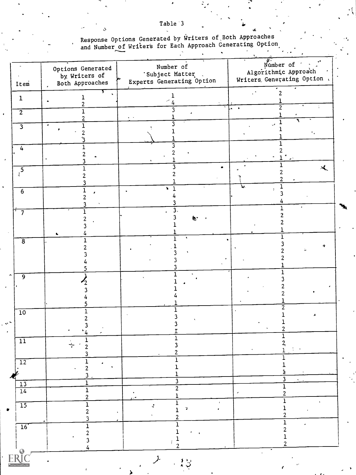Response Options Generated by Writers of Both Approaches<br>and Number of Writers for Each Approach Generating Option ÷.

| Item                    | Options Generated<br>by Writers of<br>Both Approaches       | Number of<br>'Subject Matter<br>Experts Generating Option | Number of Party<br>Algorithmic Approach<br>Writers Generating Option |
|-------------------------|-------------------------------------------------------------|-----------------------------------------------------------|----------------------------------------------------------------------|
| $\mathbf{1}$            | L<br>2                                                      | 1                                                         |                                                                      |
| $\overline{2}$          | 1                                                           |                                                           | 2<br>$\bullet$                                                       |
| $\overline{\mathbf{3}}$ | $\epsilon$<br>1<br>2                                        |                                                           |                                                                      |
| 4                       |                                                             |                                                           |                                                                      |
| $\sqrt{5}$              |                                                             |                                                           |                                                                      |
| $\overline{6}$          |                                                             | ¥                                                         |                                                                      |
| 7                       |                                                             | $\overline{3}$<br>$\omega$                                |                                                                      |
| $\overline{8}$          |                                                             |                                                           |                                                                      |
| 9                       |                                                             |                                                           |                                                                      |
| $\overline{10}$         | $\cdot_4$<br>٠                                              | I                                                         |                                                                      |
| $\overline{11}$         | ÷<br>2<br>3                                                 | $\overline{1}$<br>3<br>2                                  | $\mathbf{z}$<br>$\mathbf{1}$                                         |
| $\overline{12}$         | $\frac{1}{2}$<br>$\epsilon$<br>3                            | 1                                                         |                                                                      |
| $\frac{13}{14}$         | $\overline{1}$<br>$\mathbf{1}$                              | 3<br>$\overline{2}$                                       | 3<br>1<br>$\overline{c}$<br>$\epsilon$                               |
| $\overline{15}$         | $\overline{\mathbf{c}}$<br>$\overline{1}$<br>$\overline{2}$ | $\mathbf 1$<br>$\hat{q}$<br>$\mathbf{r}$<br>1             | 2                                                                    |
| $\overline{16}'$        | 3<br>$\overline{1}$<br>$\overline{2}$                       |                                                           | 1<br>2                                                               |
| <b>ERIC</b>             | 4                                                           | 2<br>$\mathcal{F}$<br>$\sum_{i=1}^{n}$                    | 2                                                                    |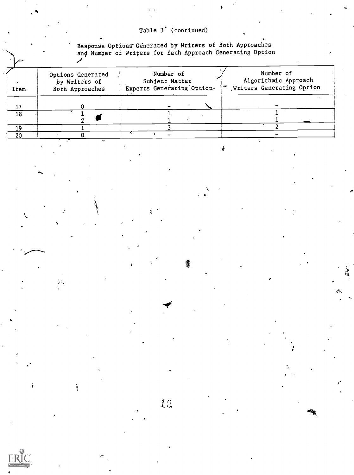### Table 3' (continued)

Response Options Generated by Writers of Both Approaches<br>and Number of Writers for Each Approach Generating Option ╱

| Item | Options Generated<br>by Writers of<br>Both Approaches | Number of<br>Subject Matter<br>Experts Generating Option. | Number of<br>Algorithmic Approach<br>  T Writers Generating Option |
|------|-------------------------------------------------------|-----------------------------------------------------------|--------------------------------------------------------------------|
| 17   |                                                       |                                                           |                                                                    |
| 18   |                                                       |                                                           |                                                                    |
|      |                                                       |                                                           |                                                                    |
| 20   |                                                       |                                                           |                                                                    |

 $\leftarrow$ 

ı.

 $12$ 



 $\mathbf{\dot{S}}$ 

 $\mathcal{G}_{\mathcal{F}}$ 

J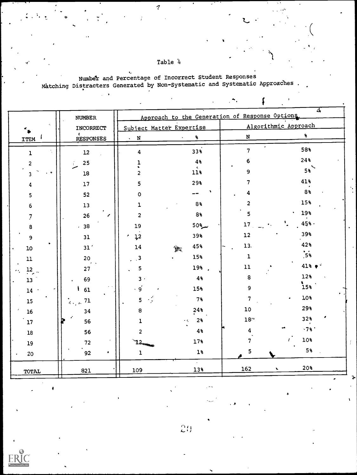Table 4

 $\overline{\mathcal{U}}$ 

Number and Percentage of Incorrect Student Responses<br>Matching Distracters Generated by Non-Systematic and Systematic Approaches

| Į |  |
|---|--|

|               | <b>NUMBER</b>    | చ∗<br>Approach to the Generation of Response Options |                                   |                             |                 |
|---------------|------------------|------------------------------------------------------|-----------------------------------|-----------------------------|-----------------|
|               | INCORRECT        | Subject Matter Expertise                             |                                   | Algorithmic Approach        |                 |
| <b>ITEM</b>   | <b>RESPONSES</b> | ${\bf N}$<br>$\mathbf{v}$                            | $\mathbf{S}$                      | $\mathbf N$                 | $\pmb{\hat{s}}$ |
| ı             | 12               | 4                                                    | 33%                               | $\bullet$<br>$\overline{7}$ | 58%             |
| 2             | 25               | 1                                                    | 4%                                | 6                           | 24%             |
| 3             | ${\bf 18}$       | 2                                                    | $\hat{\mathbf{11}}$               | 9                           | $5\%$           |
| 4             | 17               | 5                                                    | 29%                               | 7                           | 41%             |
| 5             | 52               | 0                                                    |                                   | 4                           | 8%              |
| 6             | $13\,$           | 1                                                    | 8%                                | $\overline{\mathbf{c}}$     | 15%             |
| 7             | 26<br>∕          | $\overline{c}$                                       | 8%                                | 5                           | 19%             |
| 8             | .38              | 19                                                   | $50$ <sup><math>\sim</math></sup> | 17                          | 45%.            |
| 9             | 31               | 12                                                   | 39%                               | ${\bf 12}$                  | 39%             |
| $10\,$        | 31 <sup>′</sup>  | 14                                                   | 45%<br>諫                          | 13.                         | 42%             |
| $\mathbf{11}$ | 20               | 3                                                    | 15%                               | $\mathbf 1$                 | 5 <sup>3</sup>  |
| 12            | e s<br>27        | 5                                                    | 19%.                              | 11                          | $41\% + ^{2}$   |
| 13            | 69               | 3.                                                   | 4%                                | 8                           | 12%             |
| 14            | 61               | 9                                                    | 15%                               | 9                           | 15%             |
| 15            | 71<br>dia, ac    | 5                                                    | $7\%$                             | $\overline{7}$              | 10%<br>٠        |
| $16\,$        | 34               | 8                                                    | 24%                               | ${\bf 10}$                  | 29%             |
| ${\bf 17}$    | 56               | ı                                                    | 2 <sub>3</sub>                    | $18$                        | 32%             |
| ${\bf 18}$    | 56               | 2                                                    | 4%                                | 4                           | .7%             |
| 19            | 72               | ٦2.                                                  | 17%                               | 7                           | 10%             |
| 20            | 92<br>٠          | $\mathbf{1}$                                         | $1\%$                             | 5                           | $5\%$           |
| TOTAL         | 821              | 109                                                  | 13%                               | 162<br>$\mathbf x$          | 20%             |